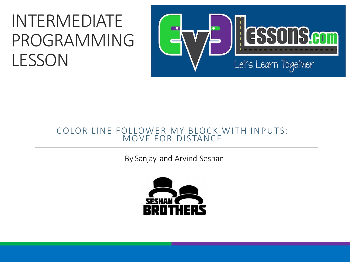#### INTERMEDIATE PROGRAMMING LESSON



#### COLOR LINE FOLLOWER MY BLOCK WITH INPUTS: MOVE FOR DISTANCE

By Sanjay and Arvind Seshan

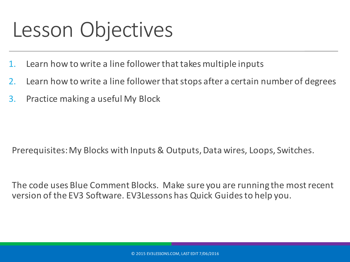#### Lesson Objectives

- 1. Learn how to write a line follower that takes multiple inputs
- 2. Learn how to write a line follower that stops after a certain number of degrees
- 3. Practice making a useful My Block

Prerequisites: My Blocks with Inputs & Outputs, Data wires, Loops, Switches.

The code uses Blue Comment Blocks. Make sure you are running the most recent version of the EV3 Software. EV3Lessons has Quick Guides to help you.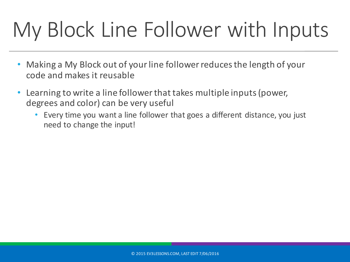# My Block Line Follower with Inputs

- Making a My Block out of your line follower reduces the length of your code and makes it reusable
- Learning to write a line follower that takes multiple inputs (power, degrees and color) can be very useful
	- Every time you want a line follower that goes a different distance, you just need to change the input!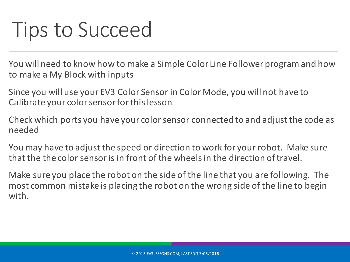#### Tips to Succeed

You will need to know how to make a Simple Color Line Follower program and how to make a My Block with inputs

Since you will use your EV3 Color Sensor in Color Mode, you will not have to Calibrate your color sensor for this lesson

Check which ports you have your color sensor connected to and adjust the code as needed

You may have to adjust the speed or direction to work for your robot. Make sure that the the color sensor is in front of the wheels in the direction of travel.

Make sure you place the robot on the side of the line that you are following. The most common mistake is placing the robot on the wrong side of the line to begin with.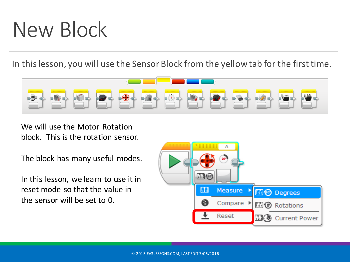#### New Block

In this lesson, you will use the Sensor Block from the yellow tab for the first time.



We will use the Motor Rotation block. This is the rotation sensor.

The block has many useful modes.

In this lesson, we learn to use it in reset mode so that the value in the sensor will be set to  $0$ .

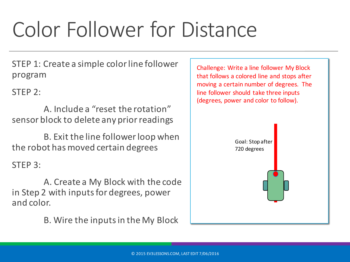# Color Follower for Distance

STEP 1: Create a simple color line follower program

 $STEP$  2:

A. Include a "reset the rotation" sensor block to delete any prior readings

B. Exit the line follower loop when the robot has moved certain degrees

 $STEP 3:$ 

A. Create a My Block with the code in Step 2 with inputs for degrees, power and color.

B. Wire the inputs in the My Block

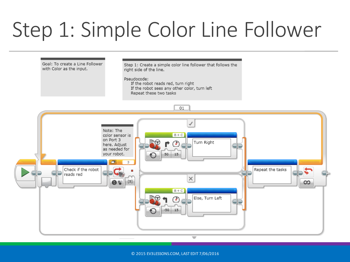# Step 1: Simple Color Line Follower



© 2015 EV3LESSONS.COM, LAST EDIT 7/06/2016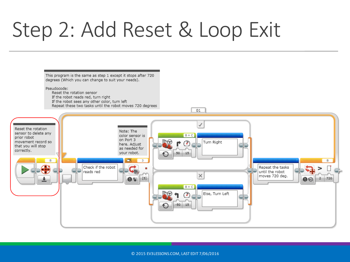## Step 2: Add Reset & Loop Exit

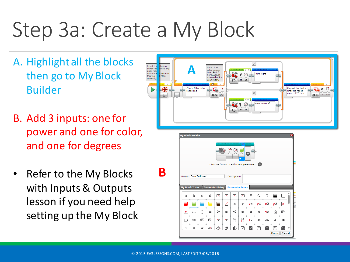# Step 3a: Create a My Block

- A. Highlight all the blocks then go to My Block Builder
- B. Add 3 inputs: one for power and one for color, and one for degrees
- Refer to the My Blocks with Inputs & Outputs lesson if you need help setting up the My Block





**B**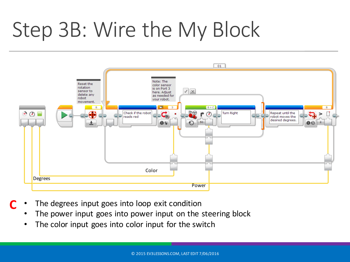# Step 3B: Wire the My Block



- The degrees input goes into loop exit condition **C**
	- The power input goes into power input on the steering block
	- The color input goes into color input for the switch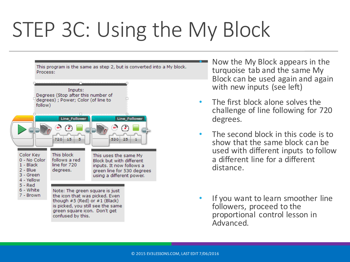# STEP 3C: Using the My Block



Now the My Block appears in the turquoise tab and the same My Block can be used again and again with new inputs (see left)

- The first block alone solves the challenge of line following for 720 degrees.
- The second block in this code is to show that the same block can be used with different inputs to follow a different line for a different distance.
- If you want to learn smoother line followers, proceed to the proportional control lesson in Advanced.